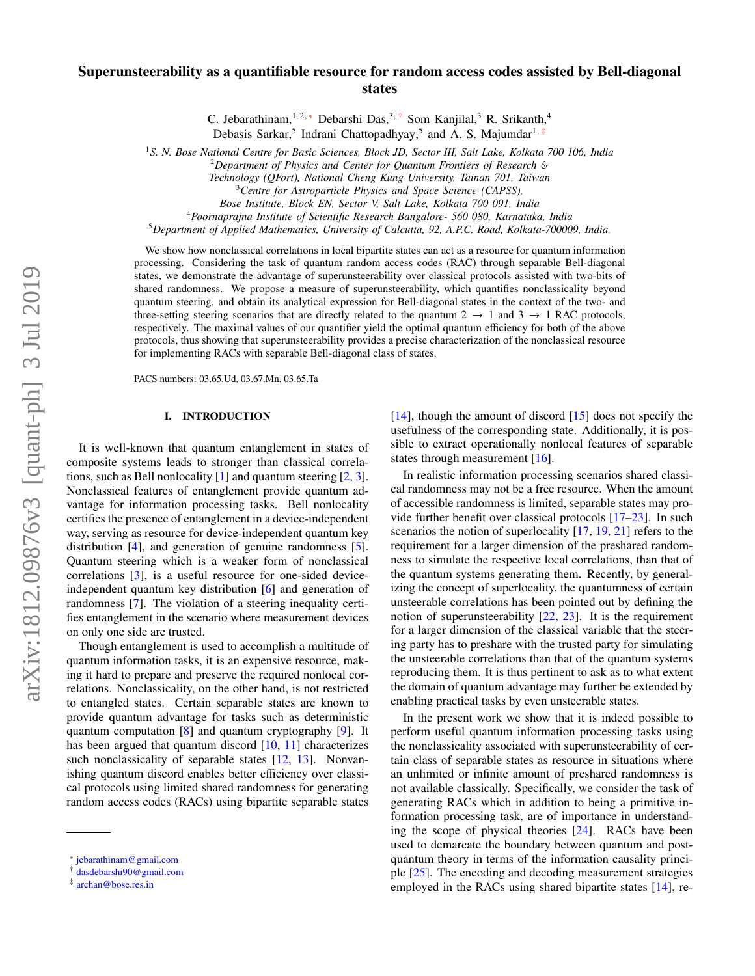# Superunsteerability as a quantifiable resource for random access codes assisted by Bell-diagonal states

C. Jebarathinam,<sup>1,2,\*</sup> Debarshi Das,<sup>3,[†](#page-0-1)</sup> Som Kanjilal,<sup>3</sup> R. Srikanth,<sup>4</sup>

Debasis Sarkar,<sup>5</sup> Indrani Chattopadhyay,<sup>5</sup> and A. S. Majumdar<sup>1,[‡](#page-0-2)</sup>

<sup>1</sup>*S. N. Bose National Centre for Basic Sciences, Block JD, Sector III, Salt Lake, Kolkata 700 106, India*

<sup>2</sup>*Department of Physics and Center for Quantum Frontiers of Research* &

*Technology (QFort), National Cheng Kung University, Tainan 701, Taiwan*

*Bose Institute, Block EN, Sector V, Salt Lake, Kolkata 700 091, India*

<sup>4</sup>*Poornaprajna Institute of Scientific Research Bangalore- 560 080, Karnataka, India*

<sup>5</sup>*Department of Applied Mathematics, University of Calcutta, 92, A.P.C. Road, Kolkata-700009, India.*

We show how nonclassical correlations in local bipartite states can act as a resource for quantum information processing. Considering the task of quantum random access codes (RAC) through separable Bell-diagonal states, we demonstrate the advantage of superunsteerability over classical protocols assisted with two-bits of shared randomness. We propose a measure of superunsteerability, which quantifies nonclassicality beyond quantum steering, and obtain its analytical expression for Bell-diagonal states in the context of the two- and three-setting steering scenarios that are directly related to the quantum  $2 \rightarrow 1$  and  $3 \rightarrow 1$  RAC protocols, respectively. The maximal values of our quantifier yield the optimal quantum efficiency for both of the above protocols, thus showing that superunsteerability provides a precise characterization of the nonclassical resource for implementing RACs with separable Bell-diagonal class of states.

PACS numbers: 03.65.Ud, 03.67.Mn, 03.65.Ta

#### I. INTRODUCTION

It is well-known that quantum entanglement in states of composite systems leads to stronger than classical correlations, such as Bell nonlocality  $[1]$  and quantum steering  $[2, 3]$  $[2, 3]$  $[2, 3]$ . Nonclassical features of entanglement provide quantum advantage for information processing tasks. Bell nonlocality certifies the presence of entanglement in a device-independent way, serving as resource for device-independent quantum key distribution [\[4\]](#page-9-1), and generation of genuine randomness [\[5\]](#page-9-2). Quantum steering which is a weaker form of nonclassical correlations [\[3\]](#page-9-0), is a useful resource for one-sided deviceindependent quantum key distribution [\[6\]](#page-9-3) and generation of randomness [\[7\]](#page-9-4). The violation of a steering inequality certifies entanglement in the scenario where measurement devices on only one side are trusted.

Though entanglement is used to accomplish a multitude of quantum information tasks, it is an expensive resource, making it hard to prepare and preserve the required nonlocal correlations. Nonclassicality, on the other hand, is not restricted to entangled states. Certain separable states are known to provide quantum advantage for tasks such as deterministic quantum computation [\[8\]](#page-9-5) and quantum cryptography [\[9\]](#page-9-6). It has been argued that quantum discord [\[10,](#page-9-7) [11\]](#page-9-8) characterizes such nonclassicality of separable states [\[12,](#page-9-9) [13\]](#page-9-10). Nonvanishing quantum discord enables better efficiency over classical protocols using limited shared randomness for generating random access codes (RACs) using bipartite separable states

 $[14]$ , though the amount of discord  $[15]$  does not specify the usefulness of the corresponding state. Additionally, it is possible to extract operationally nonlocal features of separable states through measurement [\[16\]](#page-9-13).

In realistic information processing scenarios shared classical randomness may not be a free resource. When the amount of accessible randomness is limited, separable states may provide further benefit over classical protocols [\[17](#page-9-14)[–23\]](#page-9-15). In such scenarios the notion of superlocality [\[17,](#page-9-14) [19,](#page-9-16) [21\]](#page-9-17) refers to the requirement for a larger dimension of the preshared randomness to simulate the respective local correlations, than that of the quantum systems generating them. Recently, by generalizing the concept of superlocality, the quantumness of certain unsteerable correlations has been pointed out by defining the notion of superunsteerability [\[22,](#page-9-18) [23\]](#page-9-15). It is the requirement for a larger dimension of the classical variable that the steering party has to preshare with the trusted party for simulating the unsteerable correlations than that of the quantum systems reproducing them. It is thus pertinent to ask as to what extent the domain of quantum advantage may further be extended by enabling practical tasks by even unsteerable states.

In the present work we show that it is indeed possible to perform useful quantum information processing tasks using the nonclassicality associated with superunsteerability of certain class of separable states as resource in situations where an unlimited or infinite amount of preshared randomness is not available classically. Specifically, we consider the task of generating RACs which in addition to being a primitive information processing task, are of importance in understanding the scope of physical theories [\[24\]](#page-9-19). RACs have been used to demarcate the boundary between quantum and postquantum theory in terms of the information causality principle [\[25\]](#page-9-20). The encoding and decoding measurement strategies employed in the RACs using shared bipartite states [\[14\]](#page-9-11), re-

<sup>3</sup>*Centre for Astroparticle Physics and Space Science (CAPSS),*

<span id="page-0-0"></span><sup>∗</sup> [jebarathinam@gmail.com](mailto:jebarathinam@gmail.com)

<span id="page-0-1"></span><sup>†</sup> [dasdebarshi90@gmail.com](mailto:dasdebarshi90@gmail.com)

<span id="page-0-2"></span><sup>‡</sup> [archan@bose.res.in](mailto:archan@bose.res.in)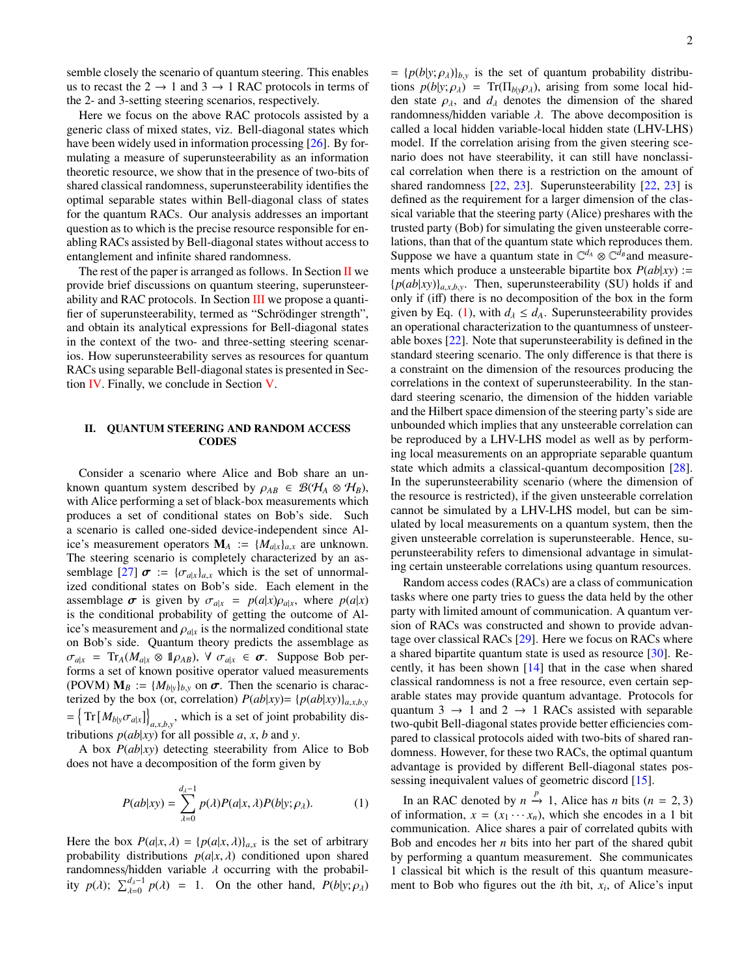semble closely the scenario of quantum steering. This enables us to recast the  $2 \rightarrow 1$  and  $3 \rightarrow 1$  RAC protocols in terms of the 2- and 3-setting steering scenarios, respectively.

Here we focus on the above RAC protocols assisted by a generic class of mixed states, viz. Bell-diagonal states which have been widely used in information processing [\[26\]](#page-9-21). By formulating a measure of superunsteerability as an information theoretic resource, we show that in the presence of two-bits of shared classical randomness, superunsteerability identifies the optimal separable states within Bell-diagonal class of states for the quantum RACs. Our analysis addresses an important question as to which is the precise resource responsible for enabling RACs assisted by Bell-diagonal states without access to entanglement and infinite shared randomness.

The rest of the paper is arranged as follows. In Section  $II$  we provide brief discussions on quantum steering, superunsteerability and RAC protocols. In Section [III](#page-2-0) we propose a quantifier of superunsteerability, termed as "Schrödinger strength", and obtain its analytical expressions for Bell-diagonal states in the context of the two- and three-setting steering scenarios. How superunsteerability serves as resources for quantum RACs using separable Bell-diagonal states is presented in Section [IV.](#page-4-0) Finally, we conclude in Section [V.](#page-5-0)

### <span id="page-1-0"></span>II. QUANTUM STEERING AND RANDOM ACCESS **CODES**

Consider a scenario where Alice and Bob share an unknown quantum system described by  $\rho_{AB} \in \mathcal{B}(\mathcal{H}_A \otimes \mathcal{H}_B)$ , with Alice performing a set of black-box measurements which produces a set of conditional states on Bob's side. Such a scenario is called one-sided device-independent since Alice's measurement operators  $M_A := \{M_{a|x}\}_{a,x}$  are unknown. The steering scenario is completely characterized by an as-semblage [\[27\]](#page-9-22)  $\sigma := {\{\sigma_{a|x}\}_a}$ , which is the set of unnormalized conditional states on Bob's side. Each element in the assemblage  $\sigma$  is given by  $\sigma_{a|x} = p(a|x)\rho_{a|x}$ , where  $p(a|x)$ is the conditional probability of getting the outcome of Alice's measurement and  $\rho_{a|x}$  is the normalized conditional state on Bob's side. Quantum theory predicts the assemblage as  $\sigma_{a|x}$  = Tr<sub>A</sub>( $M_{a|x} \otimes \mathbb{1}_{\rho_{AB}}$ ),  $\forall \sigma_{a|x} \in \sigma$ . Suppose Bob performs a set of known positive operator valued measurements (POVM)  $M_B := \{M_{b|y}\}_{b,y}$  on  $\sigma$ . Then the scenario is characterized by the box (or, correlation)  $P(ab|xy) = {p(ab|xy)}_{a,x,b,y}$  $=\left\{\text{Tr}\left[M_{b|y}\sigma_{a|x}\right]\right\}$  $a_{a,x, b,y}$ , which is a set of joint probability distributions  $p(ab|xy)$  for all possible *a*, *x*, *b* and *y*.

A box *P*(*ab*|*xy*) detecting steerability from Alice to Bob does not have a decomposition of the form given by

<span id="page-1-1"></span>
$$
P(ab|xy) = \sum_{\lambda=0}^{d_{\lambda}-1} p(\lambda)P(a|x,\lambda)P(b|y;\rho_{\lambda}).
$$
 (1)

Here the box  $P(a|x, \lambda) = {p(a|x, \lambda)}_{a,x}$  is the set of arbitrary probability distributions  $p(a|x, \lambda)$  conditioned upon shared randomness/hidden variable  $\lambda$  occurring with the probability  $p(\lambda)$ ;  $\sum_{\lambda=0}^{d_{\lambda}-1} p(\lambda) = 1$ . On the other hand,  $P(b|y; \rho_{\lambda})$ 

 $= {p(b|y; \rho_{\lambda})}_{b,y}$  is the set of quantum probability distributions  $p(b|y; \rho_\lambda)$  = Tr( $\Pi_{b|y} \rho_\lambda$ ), arising from some local hidden state  $\rho_{\lambda}$ , and  $d_{\lambda}$  denotes the dimension of the shared randomness/hidden variable  $\lambda$ . The above decomposition is called a local hidden variable-local hidden state (LHV-LHS) model. If the correlation arising from the given steering scenario does not have steerability, it can still have nonclassical correlation when there is a restriction on the amount of shared randomness [\[22,](#page-9-18) [23\]](#page-9-15). Superunsteerability [\[22,](#page-9-18) [23\]](#page-9-15) is defined as the requirement for a larger dimension of the classical variable that the steering party (Alice) preshares with the trusted party (Bob) for simulating the given unsteerable correlations, than that of the quantum state which reproduces them. Suppose we have a quantum state in  $\mathbb{C}^{d_A} \otimes \mathbb{C}^{\tilde{d}_B}$  and measurements which produce a unsteerable bipartite box *P*(*ab*|*xy*) :=  ${p(ab|xy)}_{a,x,b,y}$ . Then, superunsteerability (SU) holds if and only if (iff) there is no decomposition of the box in the form given by Eq. [\(1\)](#page-1-1), with  $d_{\lambda} \leq d_A$ . Superunsteerability provides an operational characterization to the quantumness of unsteerable boxes [\[22\]](#page-9-18). Note that superunsteerability is defined in the standard steering scenario. The only difference is that there is a constraint on the dimension of the resources producing the correlations in the context of superunsteerability. In the standard steering scenario, the dimension of the hidden variable and the Hilbert space dimension of the steering party's side are unbounded which implies that any unsteerable correlation can be reproduced by a LHV-LHS model as well as by performing local measurements on an appropriate separable quantum state which admits a classical-quantum decomposition [\[28\]](#page-9-23). In the superunsteerability scenario (where the dimension of the resource is restricted), if the given unsteerable correlation cannot be simulated by a LHV-LHS model, but can be simulated by local measurements on a quantum system, then the given unsteerable correlation is superunsteerable. Hence, superunsteerability refers to dimensional advantage in simulating certain unsteerable correlations using quantum resources.

Random access codes (RACs) are a class of communication tasks where one party tries to guess the data held by the other party with limited amount of communication. A quantum version of RACs was constructed and shown to provide advantage over classical RACs [\[29\]](#page-9-24). Here we focus on RACs where a shared bipartite quantum state is used as resource [\[30\]](#page-9-25). Recently, it has been shown [\[14\]](#page-9-11) that in the case when shared classical randomness is not a free resource, even certain separable states may provide quantum advantage. Protocols for quantum 3  $\rightarrow$  1 and 2  $\rightarrow$  1 RACs assisted with separable two-qubit Bell-diagonal states provide better efficiencies compared to classical protocols aided with two-bits of shared randomness. However, for these two RACs, the optimal quantum advantage is provided by different Bell-diagonal states possessing inequivalent values of geometric discord [\[15\]](#page-9-12).

In an RAC denoted by  $n \stackrel{p}{\rightarrow} 1$ , Alice has *n* bits (*n* = 2, 3) information  $x = (x_1, ..., x_n)$  which she encodes in a 1 bit of information,  $x = (x_1 \cdots x_n)$ , which she encodes in a 1 bit communication. Alice shares a pair of correlated qubits with Bob and encodes her *n* bits into her part of the shared qubit by performing a quantum measurement. She communicates 1 classical bit which is the result of this quantum measurement to Bob who figures out the *i*th bit, *x<sup>i</sup>* , of Alice's input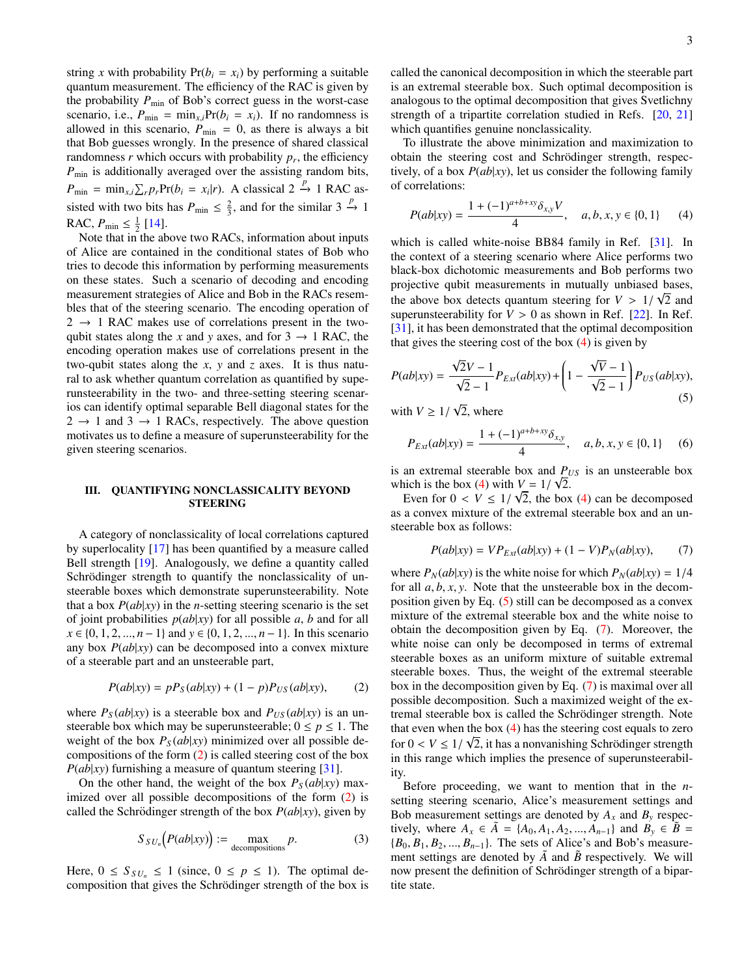string *x* with probability  $Pr(b_i = x_i)$  by performing a suitable quantum measurement. The efficiency of the RAC is given by the probability  $P_{\text{min}}$  of Bob's correct guess in the worst-case scenario, i.e.,  $P_{\text{min}} = \min_{x,i} Pr(b_i = x_i)$ . If no randomness is allowed in this scenario,  $P_{\text{min}} = 0$ , as there is always a bit that Bob guesses wrongly. In the presence of shared classical randomness  $r$  which occurs with probability  $p_r$ , the efficiency *P*<sub>min</sub> is additionally averaged over the assisting random bits,  $P_{\text{min}} = \min_{x_i} \sum_r p_r \text{Pr}(b_i = x_i | r)$ . A classical 2  $\stackrel{p}{\rightarrow}$  1 RAC assisted with two bits has  $P_{\text{min}} \leq \frac{2}{3}$ , and for the similar 3  $\stackrel{p}{\rightarrow}$  1 RAC,  $P_{\min} \leq \frac{1}{2}$  [\[14\]](#page-9-11).

Note that in the above two RACs, information about inputs of Alice are contained in the conditional states of Bob who tries to decode this information by performing measurements on these states. Such a scenario of decoding and encoding measurement strategies of Alice and Bob in the RACs resembles that of the steering scenario. The encoding operation of  $2 \rightarrow 1$  RAC makes use of correlations present in the twoqubit states along the *x* and *y* axes, and for  $3 \rightarrow 1$  RAC, the encoding operation makes use of correlations present in the two-qubit states along the *x*, *y* and *z* axes. It is thus natural to ask whether quantum correlation as quantified by superunsteerability in the two- and three-setting steering scenarios can identify optimal separable Bell diagonal states for the  $2 \rightarrow 1$  and  $3 \rightarrow 1$  RACs, respectively. The above question motivates us to define a measure of superunsteerability for the given steering scenarios.

### <span id="page-2-0"></span>III. QUANTIFYING NONCLASSICALITY BEYOND STEERING

A category of nonclassicality of local correlations captured by superlocality [\[17\]](#page-9-14) has been quantified by a measure called Bell strength [\[19\]](#page-9-16). Analogously, we define a quantity called Schrödinger strength to quantify the nonclassicality of unsteerable boxes which demonstrate superunsteerability. Note that a box  $P(ab|xy)$  in the *n*-setting steering scenario is the set of joint probabilities  $p(ab|xy)$  for all possible *a*, *b* and for all *x* ∈ {0, 1, 2, ..., *n* − 1} and *y* ∈ {0, 1, 2, ..., *n* − 1}. In this scenario any box *P*(*ab*|*xy*) can be decomposed into a convex mixture of a steerable part and an unsteerable part,

<span id="page-2-1"></span>
$$
P(ab|xy) = pPS(ab|xy) + (1-p)PUS(ab|xy),
$$
 (2)

where  $P_S(ab|xy)$  is a steerable box and  $P_{US}(ab|xy)$  is an unsteerable box which may be superunsteerable;  $0 \le p \le 1$ . The weight of the box  $P_S(ab|xy)$  minimized over all possible decompositions of the form [\(2\)](#page-2-1) is called steering cost of the box *P*(*ab*|*xy*) furnishing a measure of quantum steering [\[31\]](#page-9-26).

On the other hand, the weight of the box  $P_S(ab|xy)$  maximized over all possible decompositions of the form [\(2\)](#page-2-1) is called the Schrödinger strength of the box  $P(ab|xy)$ , given by

$$
S_{SU_n}\big(P(ab|xy)\big) := \max_{\text{decompositions}} p. \tag{3}
$$

Here,  $0 \leq S_{SU_n} \leq 1$  (since,  $0 \leq p \leq 1$ ). The optimal decomposition that gives the Schrödinger strength of the box is called the canonical decomposition in which the steerable part is an extremal steerable box. Such optimal decomposition is analogous to the optimal decomposition that gives Svetlichny strength of a tripartite correlation studied in Refs. [\[20,](#page-9-27) [21\]](#page-9-17) which quantifies genuine nonclassicality.

To illustrate the above minimization and maximization to obtain the steering cost and Schrödinger strength, respectively, of a box *P*(*ab*|*xy*), let us consider the following family of correlations:

<span id="page-2-2"></span>
$$
P(ab|xy) = \frac{1 + (-1)^{a+b+xy} \delta_{x,y} V}{4}, \quad a, b, x, y \in \{0, 1\} \tag{4}
$$

which is called white-noise BB84 family in Ref. [\[31\]](#page-9-26). In the context of a steering scenario where Alice performs two black-box dichotomic measurements and Bob performs two projective qubit measurements in mutually unbiased bases, the above box detects quantum steering for  $V > 1/\sqrt{2}$  and<br>superupsteerability for  $V > 0$  as shown in Ref. [22]. In Ref. superunsteerability for  $V > 0$  as shown in Ref. [\[22\]](#page-9-18). In Ref. [\[31\]](#page-9-26), it has been demonstrated that the optimal decomposition that gives the steering cost of the box  $(4)$  is given by

<span id="page-2-3"></span>
$$
P(ab|xy) = \frac{\sqrt{2}V - 1}{\sqrt{2} - 1} P_{Ex}(ab|xy) + \left(1 - \frac{\sqrt{V} - 1}{\sqrt{2} - 1}\right) P_{US}(ab|xy),
$$
\n(5)

with  $V \geq 1/$ 2, where

$$
P_{Ex}(ab|xy) = \frac{1 + (-1)^{a+b+xy} \delta_{x,y}}{4}, \quad a, b, x, y \in \{0, 1\} \tag{6}
$$

is an extremal steerable box and  $P_{US}$  is an unsteerable box which is the box [\(4\)](#page-2-2) with  $V = 1/\sqrt{2}$ .<br>Figure for  $0 < V < 1/\sqrt{2}$  the box

Even for  $0 < V \leq 1/\sqrt{2}$ , the box [\(4\)](#page-2-2) can be decomposed<br>a convex mixture of the extremal steerable box and an unas a convex mixture of the extremal steerable box and an unsteerable box as follows:

<span id="page-2-4"></span>
$$
P(ab|xy) = VP_{Ext}(ab|xy) + (1 - V)P_N(ab|xy), \qquad (7)
$$

where  $P_N(ab|xy)$  is the white noise for which  $P_N(ab|xy) = 1/4$ for all  $a, b, x, y$ . Note that the unsteerable box in the decomposition given by Eq. [\(5\)](#page-2-3) still can be decomposed as a convex mixture of the extremal steerable box and the white noise to obtain the decomposition given by Eq. [\(7\)](#page-2-4). Moreover, the white noise can only be decomposed in terms of extremal steerable boxes as an uniform mixture of suitable extremal steerable boxes. Thus, the weight of the extremal steerable box in the decomposition given by Eq. [\(7\)](#page-2-4) is maximal over all possible decomposition. Such a maximized weight of the extremal steerable box is called the Schrödinger strength. Note that even when the box [\(4\)](#page-2-2) has the steering cost equals to zero for  $0 < V \leq 1/\sqrt{2}$ , it has a nonvanishing Schrödinger strength<br>in this range which implies the presence of superunsteerabilin this range which implies the presence of superunsteerability.

Before proceeding, we want to mention that in the *n*setting steering scenario, Alice's measurement settings and Bob measurement settings are denoted by  $A_x$  and  $B_y$  respectively, where  $A_x$  ∈  $\tilde{A}$  = { $A_0, A_1, A_2, ..., A_{n-1}$ } and  $B_y$  ∈  $\tilde{B}$  =  ${B_0, B_1, B_2, ..., B_{n-1}}$ . The sets of Alice's and Bob's measurement settings are denoted by  $\tilde{A}$  and  $\tilde{B}$  respectively. We will now present the definition of Schrödinger strength of a bipartite state.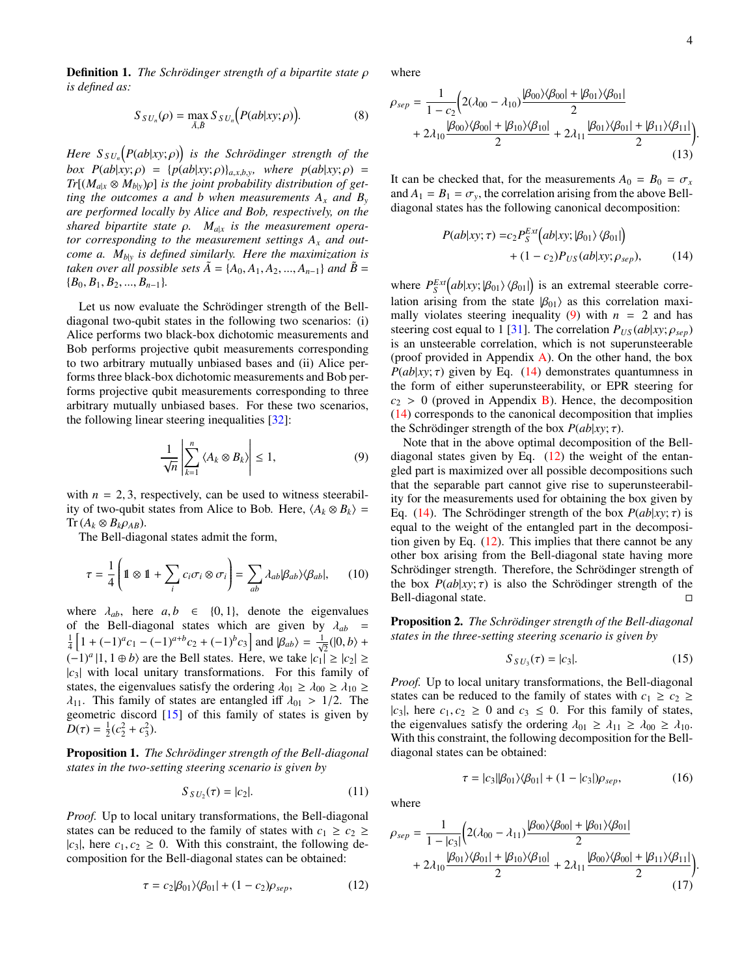**Definition 1.** *The Schrödinger strength of a bipartite state ρ is defined as:*

$$
S_{SU_n}(\rho) = \max_{\tilde{A}, \tilde{B}} S_{SU_n}\big(P(ab|xy; \rho)\big).
$$
 (8)

*Here*  $S_{SU_n}(P(ab|xy;\rho))$  *is the Schrödinger strength of the*<br> *box*  $P(ab|xy;\rho) = P(ab|xy;\rho)$  *is where*  $P(ab|xy;\rho) =$ *box*  $P(ab|xy; \rho) = {p(ab|xy; \rho)}_{a,x,b,y}$  *where*  $p(ab|xy; \rho)$  $Tr[(M_{a|x} \otimes M_{b|y})\rho]$  *is the joint probability distribution of getting the outcomes a and b when measurements*  $A_x$  *and*  $B_y$ *are performed locally by Alice and Bob, respectively, on the shared bipartite state* <sup>ρ</sup>*. Ma*|*<sup>x</sup> is the measurement operator corresponding to the measurement settings A<sup>x</sup> and outcome a. Mb*|*<sup>y</sup> is defined similarly. Here the maximization is taken over all possible sets*  $\tilde{A} = \{A_0, A_1, A_2, ..., A_{n-1}\}$  *and*  $\tilde{B} =$  ${B_0, B_1, B_2, ..., B_{n-1}}.$ 

Let us now evaluate the Schrödinger strength of the Belldiagonal two-qubit states in the following two scenarios: (i) Alice performs two black-box dichotomic measurements and Bob performs projective qubit measurements corresponding to two arbitrary mutually unbiased bases and (ii) Alice performs three black-box dichotomic measurements and Bob performs projective qubit measurements corresponding to three arbitrary mutually unbiased bases. For these two scenarios, the following linear steering inequalities [\[32\]](#page-9-28):

<span id="page-3-0"></span>
$$
\frac{1}{\sqrt{n}} \left| \sum_{k=1}^{n} \left\langle A_k \otimes B_k \right\rangle \right| \le 1, \tag{9}
$$

with  $n = 2, 3$ , respectively, can be used to witness steerability of two-qubit states from Alice to Bob. Here,  $\langle A_k \otimes B_k \rangle =$  $Tr (A_k \otimes B_k \rho_{AB}).$ 

The Bell-diagonal states admit the form,

<span id="page-3-5"></span>
$$
\tau = \frac{1}{4} \left( \mathbb{1} \otimes \mathbb{1} + \sum_{i} c_i \sigma_i \otimes \sigma_i \right) = \sum_{ab} \lambda_{ab} |\beta_{ab}\rangle \langle \beta_{ab}|, \qquad (10)
$$

where  $\lambda_{ab}$ , here  $a, b \in \{0, 1\}$ , denote the eigenvalues of the Bell-diagonal states which are given by  $\lambda_{ab}$  =  $\frac{1}{4} \left[ 1 + (-1)^a c_1 - (-1)^{a+b} c_2 + (-1)^b c_3 \right]$  and  $|\beta_{ab}\rangle = \frac{1}{\sqrt{2}} (|0, b\rangle +$  $(-1)^a$  |1, 1 ⊕ *b*) are the Bell states. Here, we take  $|c_1| \ge |c_2| \ge$ <br> $|c_2|$  with local unitary transformations. For this family of  $|c_3|$  with local unitary transformations. For this family of states, the eigenvalues satisfy the ordering  $\lambda_{01} \geq \lambda_{00} \geq \lambda_{10} \geq$  $\lambda_{11}$ . This family of states are entangled iff  $\lambda_{01} > 1/2$ . The geometric discord [\[15\]](#page-9-12) of this family of states is given by  $D(\tau) = \frac{1}{2}(c_2^2 + c_3^2).$ 

Proposition 1. *The Schrödinger strength of the Bell-diagonal states in the two-setting steering scenario is given by*

$$
S_{SU_2}(\tau) = |c_2|.\tag{11}
$$

*Proof.* Up to local unitary transformations, the Bell-diagonal states can be reduced to the family of states with  $c_1 \geq c_2 \geq$  $|c_3|$ , here  $c_1, c_2 \geq 0$ . With this constraint, the following decomposition for the Bell-diagonal states can be obtained:

<span id="page-3-2"></span>
$$
\tau = c_2 |\beta_{01}\rangle \langle \beta_{01}| + (1 - c_2)\rho_{sep}, \qquad (12)
$$

where

$$
\rho_{sep} = \frac{1}{1 - c_2} \Big( 2(\lambda_{00} - \lambda_{10}) \frac{|\beta_{00}\rangle\langle\beta_{00}| + |\beta_{01}\rangle\langle\beta_{01}|}{2} + 2\lambda_{10} \frac{|\beta_{00}\rangle\langle\beta_{00}| + |\beta_{10}\rangle\langle\beta_{10}|}{2} + 2\lambda_{11} \frac{|\beta_{01}\rangle\langle\beta_{01}| + |\beta_{11}\rangle\langle\beta_{11}|}{2} \Big) \Big) \tag{13}
$$

It can be checked that, for the measurements  $A_0 = B_0 = \sigma_x$ and  $A_1 = B_1 = \sigma_y$ , the correlation arising from the above Belldiagonal states has the following canonical decomposition:

<span id="page-3-4"></span><span id="page-3-1"></span>
$$
P(ab|xy; \tau) = c_2 P_S^{Ex}(ab|xy; |\beta_{01}\rangle \langle \beta_{01}|)
$$
  
+ (1 - c\_2)P<sub>US</sub>(ab|xy;  $\rho_{sep}$ ), (14)

where  $P_S^{Ext}(ab|xy; |\beta_{01}\rangle \langle \beta_{01}|)$  is an extremal steerable corre-<br>lation griding from the state  $|\beta_{0}\rangle$  of this correlation may lation arising from the state  $|\beta_{01}\rangle$  as this correlation maxi-mally violates steering inequality [\(9\)](#page-3-0) with  $n = 2$  and has steering cost equal to 1 [\[31\]](#page-9-26). The correlation  $P_{US}(ab|xy; \rho_{sep})$ is an unsteerable correlation, which is not superunsteerable (proof provided in Appendix [A\)](#page-5-1). On the other hand, the box *P*( $ab$ |*xy*;  $\tau$ ) given by Eq. [\(14\)](#page-3-1) demonstrates quantumness in the form of either superunsteerability, or EPR steering for  $c_2 > 0$  (proved in Appendix [B\)](#page-6-0). Hence, the decomposition [\(14\)](#page-3-1) corresponds to the canonical decomposition that implies the Schrödinger strength of the box  $P(ab|xy; \tau)$ .

Note that in the above optimal decomposition of the Belldiagonal states given by Eq.  $(12)$  the weight of the entangled part is maximized over all possible decompositions such that the separable part cannot give rise to superunsteerability for the measurements used for obtaining the box given by Eq. [\(14\)](#page-3-1). The Schrödinger strength of the box  $P(ab|xy; \tau)$  is equal to the weight of the entangled part in the decomposition given by Eq. [\(12\)](#page-3-2). This implies that there cannot be any other box arising from the Bell-diagonal state having more Schrödinger strength. Therefore, the Schrödinger strength of the box  $P(ab|xy; \tau)$  is also the Schrödinger strength of the Bell-diagonal state. Bell-diagonal state.

Proposition 2. *The Schrödinger strength of the Bell-diagonal states in the three-setting steering scenario is given by*

$$
S_{SU_3}(\tau) = |c_3|.\t(15)
$$

<span id="page-3-3"></span> $\tau = |c_3||\beta_{01}\rangle\langle\beta_{01}| + (1 - |c_3|)\rho_{sep},$  (16)

*Proof.* Up to local unitary transformations, the Bell-diagonal states can be reduced to the family of states with  $c_1 \geq c_2 \geq$  $|c_3|$ , here  $c_1, c_2 \geq 0$  and  $c_3 \leq 0$ . For this family of states, the eigenvalues satisfy the ordering  $\lambda_{01} \geq \lambda_{11} \geq \lambda_{00} \geq \lambda_{10}$ . With this constraint, the following decomposition for the Belldiagonal states can be obtained:

where

$$
\rho_{sep} = \frac{1}{1 - |c_3|} \Big( 2(\lambda_{00} - \lambda_{11}) \frac{|\beta_{00}\rangle\langle\beta_{00}| + |\beta_{01}\rangle\langle\beta_{01}|}{2} + 2\lambda_{10} \frac{|\beta_{01}\rangle\langle\beta_{01}| + |\beta_{10}\rangle\langle\beta_{10}|}{2} + 2\lambda_{11} \frac{|\beta_{00}\rangle\langle\beta_{00}| + |\beta_{11}\rangle\langle\beta_{11}|}{2} \Big) \Big) \tag{17}
$$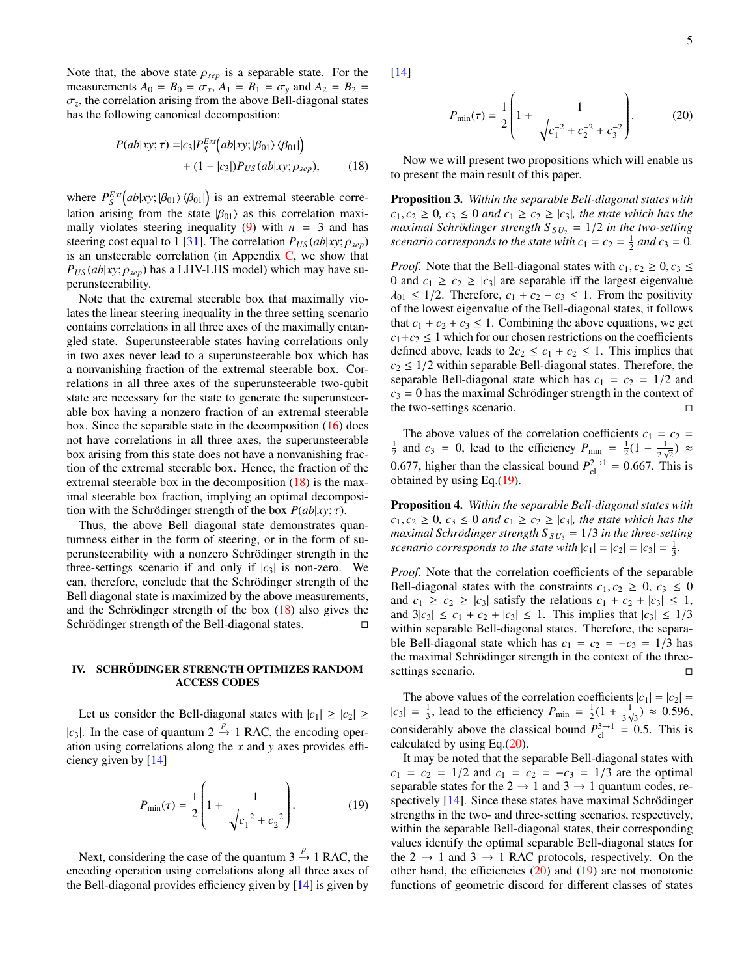5

Note that, the above state  $\rho_{sep}$  is a separable state. For the measurements  $A_0 = B_0 = \sigma_x$ ,  $A_1 = B_1 = \sigma_y$  and  $A_2 = B_2 =$  $\sigma_z$ , the correlation arising from the above Bell-diagonal states has the following canonical decomposition: has the following canonical decomposition:

$$
P(ab|xy; \tau) = |c_3| P_S^{Ext} (ab|xy; |\beta_{01} \rangle \langle \beta_{01}|)
$$
  
+ (1 - |c\_3|)P\_{US}(ab|xy; \rho\_{sep}), (18)

where  $P_S^{Ext}(ab|xy;\beta_{01}\rangle\langle\beta_{01}|)$  is an extremal steerable corre-<br>lation griding from the state  $|\beta_{0}\rangle$  of this correlation may lation arising from the state  $|\beta_{01}\rangle$  as this correlation maxi-mally violates steering inequality [\(9\)](#page-3-0) with  $n = 3$  and has steering cost equal to 1 [\[31\]](#page-9-26). The correlation  $P_{US}(ab|xy; \rho_{sep})$ is an unsteerable correlation (in Appendix  $C$ , we show that  $P_{US}(ab|xy; \rho_{sep})$  has a LHV-LHS model) which may have superunsteerability.

Note that the extremal steerable box that maximally violates the linear steering inequality in the three setting scenario contains correlations in all three axes of the maximally entangled state. Superunsteerable states having correlations only in two axes never lead to a superunsteerable box which has a nonvanishing fraction of the extremal steerable box. Correlations in all three axes of the superunsteerable two-qubit state are necessary for the state to generate the superunsteerable box having a nonzero fraction of an extremal steerable box. Since the separable state in the decomposition  $(16)$  does not have correlations in all three axes, the superunsteerable box arising from this state does not have a nonvanishing fraction of the extremal steerable box. Hence, the fraction of the extremal steerable box in the decomposition [\(18\)](#page-4-1) is the maximal steerable box fraction, implying an optimal decomposition with the Schrödinger strength of the box  $P(ab|xy; \tau)$ .

Thus, the above Bell diagonal state demonstrates quantumness either in the form of steering, or in the form of superunsteerability with a nonzero Schrödinger strength in the three-settings scenario if and only if  $|c_3|$  is non-zero. We can, therefore, conclude that the Schrödinger strength of the Bell diagonal state is maximized by the above measurements, and the Schrödinger strength of the box  $(18)$  $(18)$  also gives the Schrödinger strength of the Bell-diagonal states.  $\Box$ 

# <span id="page-4-0"></span>IV. SCHRÖDINGER STRENGTH OPTIMIZES RANDOM ACCESS CODES

Let us consider the Bell-diagonal states with  $|c_1| \geq |c_2| \geq$ | $c_3$ |. In the case of quantum  $2 \stackrel{p}{\rightarrow} 1$  RAC, the encoding operation using correlations along the *x* and *y* axes provides efficiency given by [\[14\]](#page-9-11)

<span id="page-4-2"></span>
$$
P_{\min}(\tau) = \frac{1}{2} \left( 1 + \frac{1}{\sqrt{c_1^{-2} + c_2^{-2}}} \right). \tag{19}
$$

Next, considering the case of the quantum  $3 \stackrel{p}{\rightarrow} 1$  RAC, the encoding operation using correlations along all three axes of the Bell-diagonal provides efficiency given by [\[14\]](#page-9-11) is given by [\[14\]](#page-9-11)

<span id="page-4-3"></span>
$$
P_{\min}(\tau) = \frac{1}{2} \left( 1 + \frac{1}{\sqrt{c_1^{-2} + c_2^{-2} + c_3^{-2}}} \right). \tag{20}
$$

<span id="page-4-1"></span>Now we will present two propositions which will enable us to present the main result of this paper.

Proposition 3. *Within the separable Bell-diagonal states with*  $c_1, c_2 \geq 0$ ,  $c_3 \leq 0$  *and*  $c_1 \geq c_2 \geq |c_3|$ , the state which has the *maximal Schrödinger strength*  $S_{SU_2} = 1/2$  *in the two-setting* scenario corresponds to the state with  $c_1 = c_2 = \frac{1}{2}$  and  $c_3 = 0$ .

*Proof.* Note that the Bell-diagonal states with  $c_1, c_2 \geq 0, c_3 \leq$ 0 and  $c_1 \geq c_2 \geq |c_3|$  are separable iff the largest eigenvalue  $\lambda_{01} \leq 1/2$ . Therefore,  $c_1 + c_2 - c_3 \leq 1$ . From the positivity of the lowest eigenvalue of the Bell-diagonal states, it follows that  $c_1 + c_2 + c_3 \leq 1$ . Combining the above equations, we get  $c_1+c_2 \leq 1$  which for our chosen restrictions on the coefficients defined above, leads to  $2c_2 \leq c_1 + c_2 \leq 1$ . This implies that  $c_2 \leq 1/2$  within separable Bell-diagonal states. Therefore, the separable Bell-diagonal state which has  $c_1 = c_2 = 1/2$  and  $c_3 = 0$  has the maximal Schrödinger strength in the context of the two-settings scenario.

The above values of the correlation coefficients  $c_1 = c_2$  =  $\frac{1}{2}$  and  $c_3 = 0$ , lead to the efficiency  $P_{\text{min}} = \frac{1}{2}(1 + \frac{1}{2})$  $\frac{1}{2\sqrt{2}}$ )  $\approx$ 0.677, higher than the classical bound  $P_{c1}^{2 \to 1} = 0.667$ . This is obtained by using Eq. (19) obtained by using Eq.[\(19\)](#page-4-2).

Proposition 4. *Within the separable Bell-diagonal states with*  $c_1, c_2 \geq 0$ ,  $c_3 \leq 0$  *and*  $c_1 \geq c_2 \geq |c_3|$ , the state which has the *maximal Schrödinger strength*  $S_{SU_3} = 1/3$  *in the three-setting scenario corresponds to the state with*  $|c_1| = |c_2| = |c_3| = \frac{1}{3}$ .

*Proof.* Note that the correlation coefficients of the separable Bell-diagonal states with the constraints  $c_1, c_2 \geq 0, c_3 \leq 0$ and  $c_1 \geq c_2 \geq |c_3|$  satisfy the relations  $c_1 + c_2 + |c_3| \leq 1$ , and  $3|c_3| \leq c_1 + c_2 + |c_3| \leq 1$ . This implies that  $|c_3| \leq 1/3$ within separable Bell-diagonal states. Therefore, the separable Bell-diagonal state which has  $c_1 = c_2 = -c_3 = 1/3$  has the maximal Schrödinger strength in the context of the threesettings scenario.

The above values of the correlation coefficients  $|c_1| = |c_2|$  =  $|c_3| = \frac{1}{3}$ , lead to the efficiency  $P_{\text{min}} = \frac{1}{2}(1 + \frac{1}{3})$  $\frac{1}{3\sqrt{3}}$ )  $\approx$  0.596, considerably above the classical bound  $P_{\text{cl}}^{3\to1} = 0.5$ . This is calculated by using Eq. (20) calculated by using Eq. $(20)$ .

It may be noted that the separable Bell-diagonal states with  $c_1 = c_2 = 1/2$  and  $c_1 = c_2 = -c_3 = 1/3$  are the optimal separable states for the  $2 \rightarrow 1$  and  $3 \rightarrow 1$  quantum codes, respectively  $[14]$ . Since these states have maximal Schrödinger strengths in the two- and three-setting scenarios, respectively, within the separable Bell-diagonal states, their corresponding values identify the optimal separable Bell-diagonal states for the 2  $\rightarrow$  1 and 3  $\rightarrow$  1 RAC protocols, respectively. On the other hand, the efficiencies [\(20\)](#page-4-3) and [\(19\)](#page-4-2) are not monotonic functions of geometric discord for different classes of states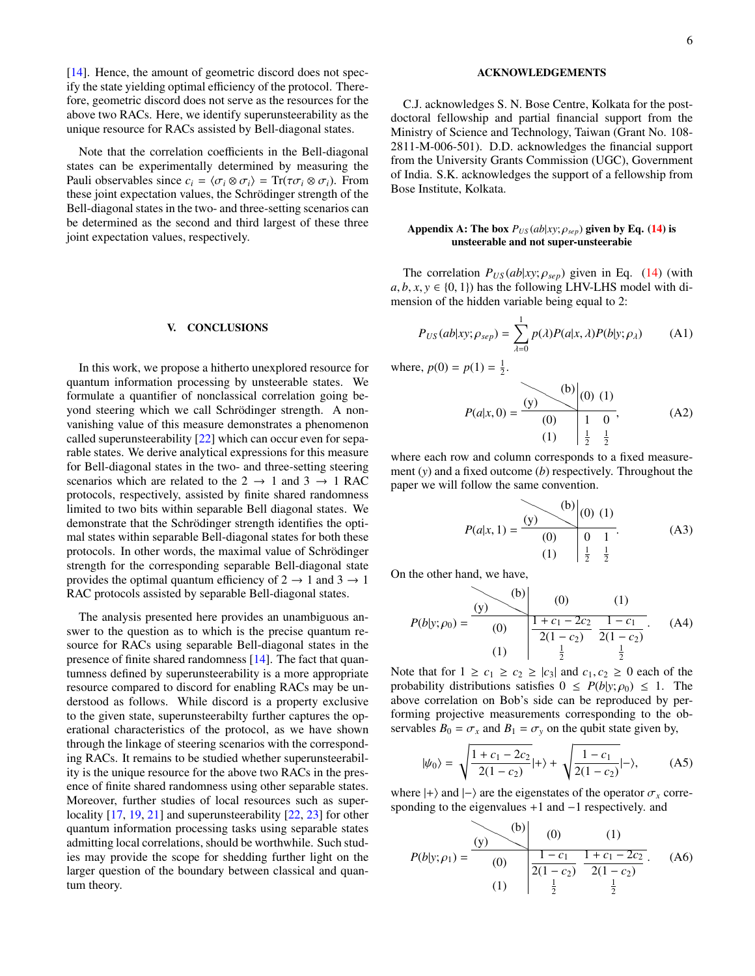[\[14\]](#page-9-11). Hence, the amount of geometric discord does not specify the state yielding optimal efficiency of the protocol. Therefore, geometric discord does not serve as the resources for the above two RACs. Here, we identify superunsteerability as the unique resource for RACs assisted by Bell-diagonal states.

Note that the correlation coefficients in the Bell-diagonal states can be experimentally determined by measuring the Pauli observables since  $c_i = \langle \sigma_i \otimes \sigma_i \rangle = \text{Tr}(\tau \sigma_i \otimes \sigma_i)$ . From these joint expectation values, the Schrödinger strength of the Bell-diagonal states in the two- and three-setting scenarios can be determined as the second and third largest of these three joint expectation values, respectively.

#### <span id="page-5-0"></span>V. CONCLUSIONS

In this work, we propose a hitherto unexplored resource for quantum information processing by unsteerable states. We formulate a quantifier of nonclassical correlation going beyond steering which we call Schrödinger strength. A nonvanishing value of this measure demonstrates a phenomenon called superunsteerability [\[22\]](#page-9-18) which can occur even for separable states. We derive analytical expressions for this measure for Bell-diagonal states in the two- and three-setting steering scenarios which are related to the  $2 \rightarrow 1$  and  $3 \rightarrow 1$  RAC protocols, respectively, assisted by finite shared randomness limited to two bits within separable Bell diagonal states. We demonstrate that the Schrödinger strength identifies the optimal states within separable Bell-diagonal states for both these protocols. In other words, the maximal value of Schrodinger ¨ strength for the corresponding separable Bell-diagonal state provides the optimal quantum efficiency of  $2 \rightarrow 1$  and  $3 \rightarrow 1$ RAC protocols assisted by separable Bell-diagonal states.

The analysis presented here provides an unambiguous answer to the question as to which is the precise quantum resource for RACs using separable Bell-diagonal states in the presence of finite shared randomness [\[14\]](#page-9-11). The fact that quantumness defined by superunsteerability is a more appropriate resource compared to discord for enabling RACs may be understood as follows. While discord is a property exclusive to the given state, superunsteerabilty further captures the operational characteristics of the protocol, as we have shown through the linkage of steering scenarios with the corresponding RACs. It remains to be studied whether superunsteerability is the unique resource for the above two RACs in the presence of finite shared randomness using other separable states. Moreover, further studies of local resources such as super-locality [\[17,](#page-9-14) [19,](#page-9-16) [21\]](#page-9-17) and superunsteerability [\[22,](#page-9-18) [23\]](#page-9-15) for other quantum information processing tasks using separable states admitting local correlations, should be worthwhile. Such studies may provide the scope for shedding further light on the larger question of the boundary between classical and quantum theory.

## ACKNOWLEDGEMENTS

C.J. acknowledges S. N. Bose Centre, Kolkata for the postdoctoral fellowship and partial financial support from the Ministry of Science and Technology, Taiwan (Grant No. 108- 2811-M-006-501). D.D. acknowledges the financial support from the University Grants Commission (UGC), Government of India. S.K. acknowledges the support of a fellowship from Bose Institute, Kolkata.

### <span id="page-5-1"></span>Appendix A: The box  $P_{US}(ab|xy; \rho_{sep})$  given by Eq. [\(14\)](#page-3-1) is unsteerable and not super-unsteerabie

The correlation  $P_{US}(ab|xy; \rho_{sep})$  given in Eq. [\(14\)](#page-3-1) (with  $a, b, x, y \in \{0, 1\}$  has the following LHV-LHS model with dimension of the hidden variable being equal to 2:

$$
P_{US}(ab|xy; \rho_{sep}) = \sum_{\lambda=0}^{1} p(\lambda)P(a|x, \lambda)P(b|y; \rho_{\lambda})
$$
 (A1)

where,  $p(0) = p(1) = \frac{1}{2}$ .

$$
P(a|x,0) = \frac{(y)}{(0)} \begin{pmatrix} 0 \\ 0 \end{pmatrix} (0) (1)
$$
  
(1)  $\begin{pmatrix} 1 & 0 \\ \frac{1}{2} & \frac{1}{2} \end{pmatrix}$  (A2)

where each row and column corresponds to a fixed measurement (*y*) and a fixed outcome (*b*) respectively. Throughout the paper we will follow the same convention.

$$
P(a|x, 1) = \frac{(y)}{(0)} \begin{pmatrix} 0 & 0 & 1 \end{pmatrix}
$$
 (0) (1) (1) (1) (1) (1) (2) (1) (2) (3)

On the other hand, we have,

$$
P(b|y; \rho_0) = \frac{(y)}{(0)} \qquad \frac{(b)}{\frac{1+c_1-2c_2}{2(1-c_2)}} \frac{(1)}{\frac{1-c_1}{\frac{1}{2}}}.
$$
 (A4)

Note that for  $1 \geq c_1 \geq c_2 \geq |c_3|$  and  $c_1, c_2 \geq 0$  each of the probability distributions satisfies  $0 \leq P(b|y; \rho_0) \leq 1$ . The above correlation on Bob's side can be reproduced by performing projective measurements corresponding to the observables  $B_0 = \sigma_x$  and  $B_1 = \sigma_y$  on the qubit state given by,

$$
|\psi_0\rangle = \sqrt{\frac{1+c_1-2c_2}{2(1-c_2)}}|+\rangle + \sqrt{\frac{1-c_1}{2(1-c_2)}}|-\rangle, \quad (A5)
$$

where  $|+\rangle$  and  $|-\rangle$  are the eigenstates of the operator  $\sigma_x$  corresponding to the eigenvalues +1 and −1 respectively. and

$$
P(b|y; \rho_1) = \frac{(y)}{(0)} \qquad \qquad (0) \qquad (1)
$$
\n
$$
(1) \qquad \qquad \frac{1 - c_1}{2(1 - c_2)} \frac{1 + c_1 - 2c_2}{2(1 - c_2)}.
$$
\n
$$
(1) \qquad \frac{1}{2} \frac{1}{2} \frac{1}{2}.
$$
\n
$$
(A6)
$$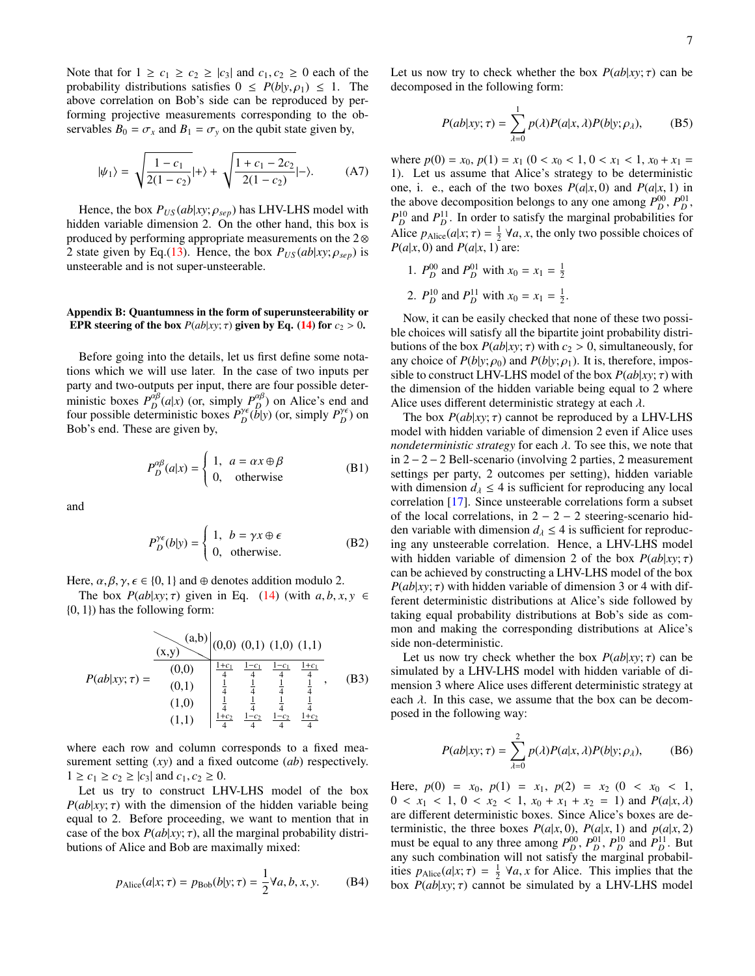Note that for  $1 \geq c_1 \geq c_2 \geq |c_3|$  and  $c_1, c_2 \geq 0$  each of the probability distributions satisfies  $0 \leq P(b|y, \rho_1) \leq 1$ . The above correlation on Bob's side can be reproduced by performing projective measurements corresponding to the observables  $B_0 = \sigma_x$  and  $B_1 = \sigma_y$  on the qubit state given by,

$$
|\psi_1\rangle = \sqrt{\frac{1 - c_1}{2(1 - c_2)}}|+\rangle + \sqrt{\frac{1 + c_1 - 2c_2}{2(1 - c_2)}}|-\rangle.
$$
 (A7)

Hence, the box  $P_{US}(ab|xy; \rho_{sep})$  has LHV-LHS model with hidden variable dimension 2. On the other hand, this box is produced by performing appropriate measurements on the 2⊗ 2 state given by Eq.[\(13\)](#page-3-4). Hence, the box  $P_{US}(ab|xy;\rho_{sep})$  is unsteerable and is not super-unsteerable.

# <span id="page-6-0"></span>Appendix B: Quantumness in the form of superunsteerability or EPR steering of the box  $P(ab|xy; \tau)$  given by Eq. [\(14\)](#page-3-1) for  $c_2 > 0$ .

Before going into the details, let us first define some notations which we will use later. In the case of two inputs per party and two-outputs per input, there are four possible deterministic boxes  $P_D^{\alpha\beta}(a|x)$  (or, simply  $P_D^{\alpha\beta}$ ) on Alice's end and four possible deterministic boxes  $P_D^{\gamma \epsilon}(\bar{b}|y)$  (or, simply  $P_D^{\gamma \epsilon}$ ) on Bob's end. These are given by,

$$
P_D^{\alpha\beta}(a|x) = \begin{cases} 1, & a = \alpha x \oplus \beta \\ 0, & \text{otherwise} \end{cases}
$$
 (B1)

and

$$
P_D^{\gamma \epsilon}(b|y) = \begin{cases} 1, & b = \gamma x \oplus \epsilon \\ 0, & \text{otherwise.} \end{cases}
$$
 (B2)

Here,  $\alpha, \beta, \gamma, \epsilon \in \{0, 1\}$  and  $\oplus$  denotes addition modulo 2.

The box  $P(ab|xy; \tau)$  given in Eq. [\(14\)](#page-3-1) (with  $a, b, x, y \in$ {0, <sup>1</sup>}) has the following form:

$$
P(ab|xy;\tau) = \begin{array}{c|cc}\n(a,b) & (0,0) & (0,1) & (1,0) & (1,1) \\
\hline\n(0,0) & \frac{1+c_1}{4} & \frac{1-c_1}{4} & \frac{1-c_1}{4} & \frac{1+c_1}{4} \\
(0,1) & \frac{1}{4} & \frac{1}{4} & \frac{1}{4} & \frac{1}{4} \\
(1,0) & \frac{1}{4} & \frac{1}{4} & \frac{1}{4} & \frac{1}{4} \\
(1,1) & \frac{1+c_2}{4} & \frac{1-c_2}{4} & \frac{1+c_2}{4} & \frac{1+c_2}{4}\n\end{array}
$$
\n(B3)

where each row and column corresponds to a fixed measurement setting (*xy*) and a fixed outcome (*ab*) respectively.  $1 \geq c_1 \geq c_2 \geq |c_3|$  and  $c_1, c_2 \geq 0$ .

Let us try to construct LHV-LHS model of the box  $P(ab|xy; \tau)$  with the dimension of the hidden variable being equal to 2. Before proceeding, we want to mention that in case of the box  $P(ab|xy; \tau)$ , all the marginal probability distributions of Alice and Bob are maximally mixed:

<span id="page-6-1"></span>
$$
p_{\text{Alice}}(a|x; \tau) = p_{\text{Bob}}(b|y; \tau) = \frac{1}{2} \forall a, b, x, y.
$$
 (B4)

Let us now try to check whether the box  $P(ab|xy; \tau)$  can be decomposed in the following form:

$$
P(ab|xy;\tau) = \sum_{\lambda=0}^{1} p(\lambda)P(a|x,\lambda)P(b|y;\rho_{\lambda}),
$$
 (B5)

where  $p(0) = x_0$ ,  $p(1) = x_1$  (0 <  $x_0$  < 1, 0 <  $x_1$  < 1,  $x_0 + x_1 =$ 1). Let us assume that Alice's strategy to be deterministic one, i. e., each of the two boxes  $P(a|x, 0)$  and  $P(a|x, 1)$  in the above decomposition belongs to any one among  $P_D^{00}$ ,  $P_D^{01}$ ,  $P_D^{10}$  and  $P_D^{11}$ . In order to satisfy the marginal probabilities for Alice  $p_{\text{Alice}}(a|x; \tau) = \frac{1}{2} \forall a, x$ , the only two possible choices of  $P(a|x|0)$  and  $P(a|x|1)$  are:  $P(a|x, 0)$  and  $P(a|x, 1)$  are:

1.  $P_D^{00}$  and  $P_D^{01}$  with  $x_0 = x_1 = \frac{1}{2}$ 2.  $P_D^{10}$  and  $P_D^{11}$  with  $x_0 = x_1 = \frac{1}{2}$ .

Now, it can be easily checked that none of these two possible choices will satisfy all the bipartite joint probability distributions of the box  $P(ab|xy; \tau)$  with  $c_2 > 0$ , simultaneously, for any choice of  $P(b|y; \rho_0)$  and  $P(b|y; \rho_1)$ . It is, therefore, impossible to construct LHV-LHS model of the box  $P(ab|xy; \tau)$  with the dimension of the hidden variable being equal to 2 where Alice uses different deterministic strategy at each  $\lambda$ .

The box  $P(ab|xy; \tau)$  cannot be reproduced by a LHV-LHS model with hidden variable of dimension 2 even if Alice uses *nondeterministic strategy* for each  $\lambda$ . To see this, we note that in 2 − 2 − 2 Bell-scenario (involving 2 parties, 2 measurement settings per party, 2 outcomes per setting), hidden variable with dimension  $d_{\lambda} \leq 4$  is sufficient for reproducing any local correlation [\[17\]](#page-9-14). Since unsteerable correlations form a subset of the local correlations, in  $2 - 2 - 2$  steering-scenario hidden variable with dimension  $d_{\lambda} \leq 4$  is sufficient for reproducing any unsteerable correlation. Hence, a LHV-LHS model with hidden variable of dimension 2 of the box  $P(ab|xy; \tau)$ can be achieved by constructing a LHV-LHS model of the box  $P(ab|xy; \tau)$  with hidden variable of dimension 3 or 4 with different deterministic distributions at Alice's side followed by taking equal probability distributions at Bob's side as common and making the corresponding distributions at Alice's side non-deterministic.

Let us now try check whether the box  $P(ab|xy; \tau)$  can be simulated by a LHV-LHS model with hidden variable of dimension 3 where Alice uses different deterministic strategy at each  $\lambda$ . In this case, we assume that the box can be decomposed in the following way:

$$
P(ab|xy;\tau) = \sum_{\lambda=0}^{2} p(\lambda)P(a|x,\lambda)P(b|y;\rho_{\lambda}),
$$
 (B6)

Here,  $p(0) = x_0$ ,  $p(1) = x_1$ ,  $p(2) = x_2$  (0 <  $x_0$  < 1,  $0 < x_1 < 1, 0 < x_2 < 1, x_0 + x_1 + x_2 = 1$ ) and  $P(a|x, \lambda)$ are different deterministic boxes. Since Alice's boxes are deterministic, the three boxes  $P(a|x, 0)$ ,  $P(a|x, 1)$  and  $p(a|x, 2)$ <br>must be equal to any three among  $P_D^{00}$ ,  $P_D^{01}$ ,  $P_D^{10}$  and  $P_D^{11}$ . But any such combination will not satisfy the marginal probabilities  $p_{\text{Alice}}(a|x; \tau) = \frac{1}{2}$   $\forall a, x$  for Alice. This implies that the hox  $P(ab|xy; \tau)$  cannot be simulated by a I HV-I HS model box  $P(ab|xy; \tau)$  cannot be simulated by a LHV-LHS model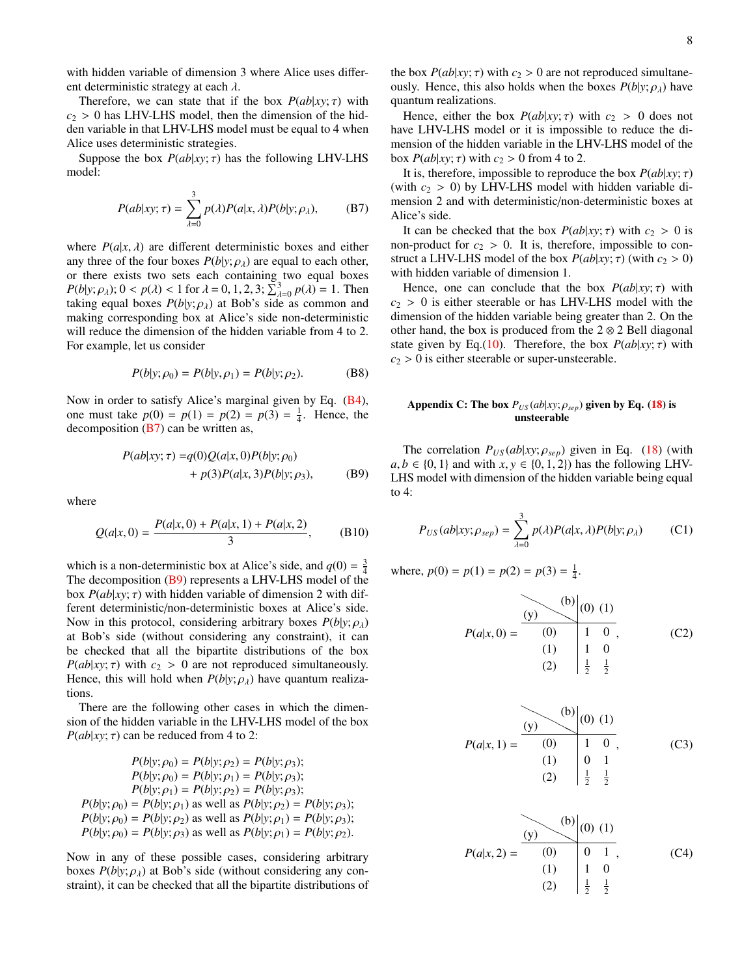with hidden variable of dimension 3 where Alice uses different deterministic strategy at each  $\lambda$ .

Therefore, we can state that if the box  $P(ab|xy; \tau)$  with  $c_2 > 0$  has LHV-LHS model, then the dimension of the hidden variable in that LHV-LHS model must be equal to 4 when Alice uses deterministic strategies.

Suppose the box  $P(ab|xy; \tau)$  has the following LHV-LHS model:

<span id="page-7-1"></span>
$$
P(ab|xy; \tau) = \sum_{\lambda=0}^{3} p(\lambda)P(a|x, \lambda)P(b|y; \rho_{\lambda}), \quad (B7)
$$

where  $P(a|x, \lambda)$  are different deterministic boxes and either any three of the four boxes  $P(b|y; \rho_{\lambda})$  are equal to each other, or there exists two sets each containing two equal boxes  $P(b|y; \rho_\lambda)$ ;  $0 < p(\lambda) < 1$  for  $\lambda = 0, 1, 2, 3$ ;  $\sum_{\lambda=0}^3 p(\lambda) = 1$ . Then taking equal boxes  $P(b|y; \rho_\lambda)$  at Bob's side as common and  $P(b|y, p_A)$ ,  $0 \le p(A) \le 1$  for  $A = 0, 1, 2, 3, \angle_{A=0} p(A) = 1$ . Then<br>taking equal boxes  $P(b|y; \rho_A)$  at Bob's side as common and<br>making corresponding box at Alice's side non-deterministic making corresponding box at Alice's side non-deterministic will reduce the dimension of the hidden variable from 4 to 2. For example, let us consider

$$
P(b|y; \rho_0) = P(b|y, \rho_1) = P(b|y; \rho_2).
$$
 (B8)

Now in order to satisfy Alice's marginal given by Eq. [\(B4\)](#page-6-1), one must take  $p(0) = p(1) = p(2) = p(3) = \frac{1}{4}$ . Hence, the decomposition  $(B7)$  can be written as,

$$
P(ab|xy; \tau) = q(0)Q(a|x, 0)P(b|y; \rho_0) + p(3)P(a|x, 3)P(b|y; \rho_3),
$$
 (B9)

where

$$
Q(a|x,0) = \frac{P(a|x,0) + P(a|x,1) + P(a|x,2)}{3},
$$
 (B10)

which is a non-deterministic box at Alice's side, and  $q(0) = \frac{3}{4}$ The decomposition [\(B9\)](#page-7-2) represents a LHV-LHS model of the box  $P(ab|xy; \tau)$  with hidden variable of dimension 2 with different deterministic/non-deterministic boxes at Alice's side. Now in this protocol, considering arbitrary boxes  $P(b|y; \rho_{\lambda})$ at Bob's side (without considering any constraint), it can be checked that all the bipartite distributions of the box  $P(ab|xy; \tau)$  with  $c_2 > 0$  are not reproduced simultaneously. Hence, this will hold when  $P(b|y; \rho_\lambda)$  have quantum realizations.

There are the following other cases in which the dimension of the hidden variable in the LHV-LHS model of the box *P*( $ab | xy; \tau$ ) can be reduced from 4 to 2:

$$
P(b|y; \rho_0) = P(b|y; \rho_2) = P(b|y; \rho_3);
$$
  
\n
$$
P(b|y; \rho_0) = P(b|y; \rho_1) = P(b|y; \rho_3);
$$
  
\n
$$
P(b|y; \rho_1) = P(b|y; \rho_2) = P(b|y; \rho_3);
$$
  
\n
$$
P(b|y; \rho_0) = P(b|y; \rho_1)
$$
 as well as 
$$
P(b|y; \rho_2) = P(b|y; \rho_3);
$$
  
\n
$$
P(b|y; \rho_0) = P(b|y; \rho_2)
$$
 as well as 
$$
P(b|y; \rho_1) = P(b|y; \rho_3);
$$
  
\n
$$
P(b|y; \rho_0) = P(b|y; \rho_3)
$$
 as well as 
$$
P(b|y; \rho_1) = P(b|y; \rho_2).
$$

Now in any of these possible cases, considering arbitrary boxes  $P(b|y; \rho_\lambda)$  at Bob's side (without considering any constraint), it can be checked that all the bipartite distributions of the box  $P(ab|xy; \tau)$  with  $c_2 > 0$  are not reproduced simultaneously. Hence, this also holds when the boxes  $P(b|y; \rho_{\lambda})$  have quantum realizations.

Hence, either the box  $P(ab|xy; \tau)$  with  $c_2 > 0$  does not have LHV-LHS model or it is impossible to reduce the dimension of the hidden variable in the LHV-LHS model of the box  $P(ab|xy; \tau)$  with  $c_2 > 0$  from 4 to 2.

It is, therefore, impossible to reproduce the box  $P(ab|xy; \tau)$ (with  $c_2 > 0$ ) by LHV-LHS model with hidden variable dimension 2 and with deterministic/non-deterministic boxes at Alice's side.

It can be checked that the box  $P(ab|xy; \tau)$  with  $c_2 > 0$  is non-product for  $c_2 > 0$ . It is, therefore, impossible to construct a LHV-LHS model of the box  $P(ab|xy; \tau)$  (with  $c_2 > 0$ ) with hidden variable of dimension 1.

Hence, one can conclude that the box  $P(ab|xy; \tau)$  with  $c_2 > 0$  is either steerable or has LHV-LHS model with the dimension of the hidden variable being greater than 2. On the other hand, the box is produced from the  $2 \otimes 2$  Bell diagonal state given by Eq.[\(10\)](#page-3-5). Therefore, the box  $P(ab|xy; \tau)$  with  $c_2 > 0$  is either steerable or super-unsteerable.

# <span id="page-7-0"></span>Appendix C: The box  $P_{US}(ab|xy; \rho_{sep})$  given by Eq. [\(18\)](#page-4-1) is unsteerable

<span id="page-7-2"></span>The correlation  $P_{US}(ab|xy; \rho_{sep})$  given in Eq. [\(18\)](#page-4-1) (with  $a, b \in \{0, 1\}$  and with  $x, y \in \{0, 1, 2\}$  has the following LHV-LHS model with dimension of the hidden variable being equal to 4:

$$
P_{US}(ab|xy; \rho_{sep}) = \sum_{\lambda=0}^{3} p(\lambda)P(a|x, \lambda)P(b|y; \rho_{\lambda})
$$
 (C1)

where,  $p(0) = p(1) = p(2) = p(3) = \frac{1}{4}$ .

*<sup>P</sup>*(*a*|*x*, 0) <sup>=</sup> ❍❍ (y) ❍❍❍ (b) (0) (1) (0) 1 0 (1) 1 0 (2) <sup>1</sup> 2 1 2 , (C2)

$$
P(a|x, 1) = \frac{(y) \times (b) \times (0) (1)}{(0) \times (1) \times (2) \times (1)} \times (0) (1)
$$
 (C3)

$$
P(a|x,2) = \frac{(y)}{(0)} \begin{pmatrix} 0 \\ 0 \end{pmatrix} (0) (1)
$$
  
(1) 0 1 , (C4)  
(2)  $\begin{pmatrix} 1 & 0 \\ \frac{1}{2} & \frac{1}{2} \end{pmatrix}$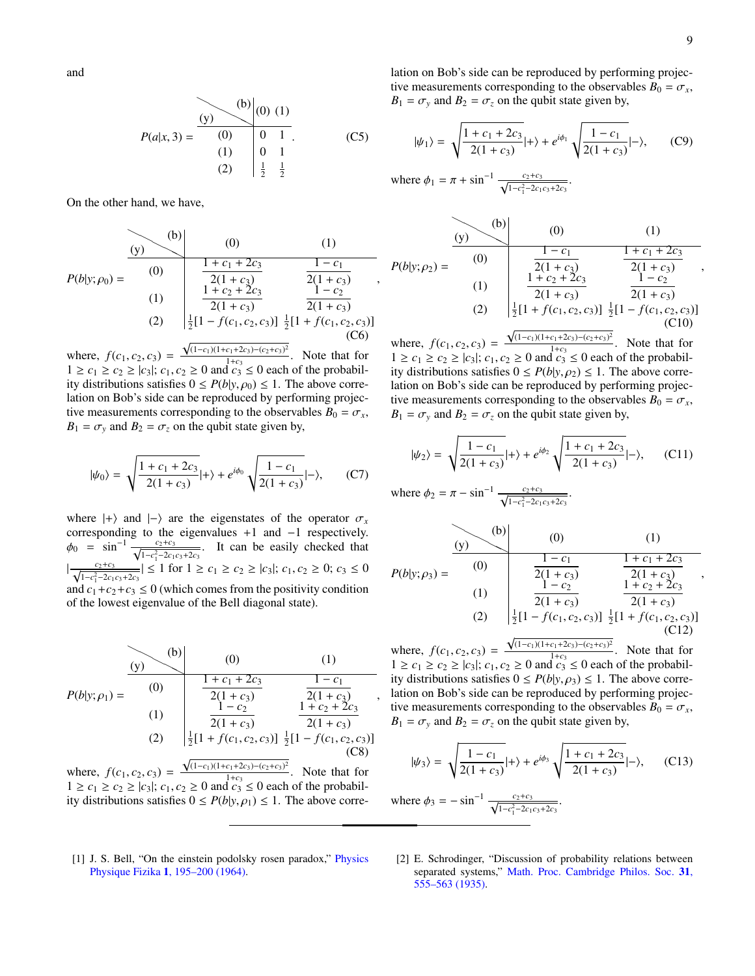and

$$
P(a|x,3) = \begin{array}{c|c} (b) & (0) & (1) \\ (0) & 0 & 1 \\ (1) & 0 & 1 \\ (2) & \frac{1}{2} & \frac{1}{2} \end{array}
$$
 (C5)

On the other hand, we have,

$$
P(b|y; \rho_0) = \begin{array}{c|c} (b) & (0) & (1) \\ (0) & \frac{1+c_1+2c_3}{2(1+c_3)} & \frac{1-c_1}{2(1+c_3)} \\ (1) & \frac{1+c_2+2c_3}{2(1+c_3)} & \frac{1-c_2}{2(1+c_3)} \\ (2) & \frac{1}{2}[1-f(c_1, c_2, c_3)] & \frac{1}{2}[1+f(c_1, c_2, c_3)] \end{array}
$$
 (C6)

where,  $f(c_1, c_2, c_3) =$ <br> $1 > c_1 > c_2 > |c_2|$ ; *c*<sub>1</sub>  $\sqrt{(1-c_1)(1+c_1+2c_3)-(c_2+c_3)^2}$  $\frac{1+c_3-(c_2+c_3)}{1+c_3}$ . Note that for  $1 \ge c_1 \ge c_2 \ge |c_3|$ ;  $c_1, c_2 \ge 0$  and  $c_3 \le 0$  each of the probabil-<br>ity distributions satisfies  $0 \le P(b|y|_{Q_0}) \le 1$ . The above correity distributions satisfies  $0 \le P(b|y, \rho_0) \le 1$ . The above correlation on Bob's side can be reproduced by performing projective measurements corresponding to the observables  $B_0 = \sigma_x$ ,  $B_1 = \sigma_y$  and  $B_2 = \sigma_z$  on the qubit state given by,

$$
|\psi_0\rangle = \sqrt{\frac{1+c_1+2c_3}{2(1+c_3)}}|+\rangle + e^{i\phi_0}\sqrt{\frac{1-c_1}{2(1+c_3)}}|-\rangle, \qquad (C7)
$$

where  $|+\rangle$  and  $|-\rangle$  are the eigenstates of the operator  $\sigma_x$ corresponding to the eigenvalues +1 and −1 respectively.  $\phi_0$  =  $\sin^{-1} \frac{c_2 + c_3}{\sqrt{1 - c_1^2 - 2c_1}}$  $\frac{c_2+c_3}{1-c_1^2-2c_1c_3+2c_3}$ . It can be easily checked that  $\frac{c_2+c_3}{\sqrt{c_2+c_3}}$  $\frac{c_2+c_3}{1-c_1^2-2c_1c_3+2c_3}$  ≤ 1 for 1 ≥  $c_1$  ≥  $c_2$  ≥  $|c_3|$ ;  $c_1$ ,  $c_2$  ≥ 0;  $c_3$  ≤ 0 and  $c_1 + c_2 + c_3 \le 0$  (which comes from the positivity condition of the lowest eigenvalue of the Bell diagonal state).

$$
P(b|y; \rho_1) = \begin{array}{c|c} (b) & (0) & (1) \\ (0) & \frac{1+c_1+2c_3}{2(1+c_3)} & \frac{1-c_1}{2(1+c_3)} \\ (1) & \frac{1-c_2}{2(1+c_3)} & \frac{1+c_2+2c_3}{2(1+c_3)} \\ (2) & \frac{1}{2}[1+f(c_1,c_2,c_3)] & \frac{1}{2}[1-f(c_1,c_2,c_3)] \end{array}
$$
\nwhere  $f(c_1, c_2, c_3)$ ,  $\sqrt{(1-c_1)(1+c_1+2c_3)-(c_2+c_3)^2}$ 

\nNote that for

where,  $f(c_1, c_2, c_3) =$ <br> $1 > c_1 > c_2 > |c_2|$ ; *c*<sub>1</sub>  $\frac{1+c_3-(c_2+c_3)}{1+c_3}$ . Note that for  $1 \ge c_1 \ge c_2 \ge |c_3|$ ;  $c_1, c_2 \ge 0$  and  $c_3 \le 0$  each of the probabil-<br>ity distributions satisfies  $0 \le P(b|v|_Q) \le 1$ . The above correity distributions satisfies  $0 \le P(b|y, \rho_1) \le 1$ . The above correlation on Bob's side can be reproduced by performing projective measurements corresponding to the observables  $B_0 = \sigma_x$ ,  $B_1 = \sigma_y$  and  $B_2 = \sigma_z$  on the qubit state given by,

$$
|\psi_1\rangle = \sqrt{\frac{1+c_1+2c_3}{2(1+c_3)}}|+\rangle + e^{i\phi_1} \sqrt{\frac{1-c_1}{2(1+c_3)}}|-\rangle, \quad (C9)
$$

where  $\phi_1 = \pi + \sin^{-1} \frac{c_2 + c_3}{\sqrt{1 - c_1^2 - 2c_1}}$  $\frac{c_2+c_3}{1-c_1^2-2c_1c_3+2c_3}$ .

,

,

$$
P(b|y; \rho_2) = \begin{array}{c|c} (b) & (0) & (1) \\ (0) & \frac{1-c_1}{2(1+c_3)} & \frac{1+c_1+2c_3}{2(1+c_3)} \\ (1) & \frac{1+c_2+2c_3}{2(1+c_3)} & \frac{1-c_2}{2(1+c_3)} \\ (2) & \frac{1}{2}[1+f(c_1,c_2,c_3)] & \frac{1}{2}[1-f(c_1,c_2,c_3)] \\ (C10) & (D10) & (E10) \end{array}
$$
\nwhere  $f(a, a, a) = \sqrt{(1-c_1)(1+c_1+2c_3)-(c_2+c_3)^2}$  Note that for

where,  $f(c_1, c_2, c_3) =$ <br> $1 > c_1 > c_2 > |c_2|$ ;  $c_1$  $\frac{1+2c_3-(c_2+c_3)}{1+c_3}$ . Note that for  $1 \geq c_1 \geq c_2 \geq |c_3|$ ;  $c_1, c_2 \geq 0$  and  $c_3 \leq 0$  each of the probabil-<br>ity distributions satisfies  $0 \leq P(b|y|, c_2) \leq 1$ . The above correity distributions satisfies  $0 \le P(b|y, \rho_2) \le 1$ . The above correlation on Bob's side can be reproduced by performing projective measurements corresponding to the observables  $B_0 = \sigma_x$ ,  $B_1 = \sigma_y$  and  $B_2 = \sigma_z$  on the qubit state given by,

$$
|\psi_2\rangle = \sqrt{\frac{1 - c_1}{2(1 + c_3)}}|+\rangle + e^{i\phi_2} \sqrt{\frac{1 + c_1 + 2c_3}{2(1 + c_3)}}|-\rangle, \quad (C11)
$$

where 
$$
\phi_2 = \pi - \sin^{-1} \frac{c_2 + c_3}{\sqrt{1 - c_1^2 - 2c_1c_3 + 2c_3}}
$$
.

$$
P(b|y; \rho_3) = \begin{array}{c|c} (b) & (0) & (1) \\ (0) & \frac{1-c_1}{2(1+c_3)} & \frac{1+c_1+2c_3}{2(1+c_3)} \\ (1) & \frac{1-c_2}{2(1+c_3)} & \frac{1+c_2+2c_3}{2(1+c_3)} \\ (2) & \frac{1}{2}[1-f(c_1,c_2,c_3)] & \frac{1}{2}[1+f(c_1,c_2,c_3)] \\ (C12) & & & & \end{array}
$$
\nwhere  $f(a, a, a) = \sqrt{\frac{(1-c_1)(1+c_1+2c_3)-(c_2+c_3)^2}{(1-c_1)(1+c_1+2c_3)-(c_2+c_3)^2}}$ . Note that for

where,  $f(c_1, c_2, c_3) =$ <br> $1 > c_1 > c_2 > |c_2|$ ;  $c_1$  $\frac{1+2c_3-(c_2+c_3)}{1+c_3}$ . Note that for  $1 \geq c_1 \geq c_2 \geq |c_3|$ ;  $c_1, c_2 \geq 0$  and  $c_3 \leq 0$  each of the probabil-<br>ity distributions satisfies  $0 \leq P(b|y|, c_2) \leq 1$ . The above correity distributions satisfies  $0 \leq P(b|y, \rho_3) \leq 1$ . The above correlation on Bob's side can be reproduced by performing projective measurements corresponding to the observables  $B_0 = \sigma_x$ ,  $B_1 = \sigma_y$  and  $B_2 = \sigma_z$  on the qubit state given by,

$$
|\psi_3\rangle = \sqrt{\frac{1 - c_1}{2(1 + c_3)}}|+\rangle + e^{i\phi_3} \sqrt{\frac{1 + c_1 + 2c_3}{2(1 + c_3)}}|-\rangle, \quad (C13)
$$

where  $\phi_3 = -\sin^{-1}$  $\frac{c_2+c_3}{c_2+c_3}$  $1 - c_1^2 - 2c_1c_3 + 2c_3$ .

- <span id="page-8-0"></span>[1] J. S. Bell, "On the einstein podolsky rosen paradox," [Physics](http://dx.doi.org/ 10.1103/PhysicsPhysiqueFizika.1.195) Physique Fizika 1[, 195–200 \(1964\).](http://dx.doi.org/ 10.1103/PhysicsPhysiqueFizika.1.195)
- <span id="page-8-1"></span>[2] E. Schrodinger, "Discussion of probability relations between separated systems," [Math. Proc. Cambridge Philos. Soc.](http://dx.doi.org/ 10.1017/S0305004100013554) 31, [555–563 \(1935\).](http://dx.doi.org/ 10.1017/S0305004100013554)